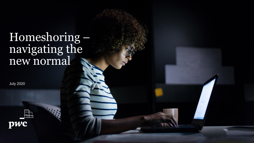# Homeshoring – navigating the new normal

July 2020

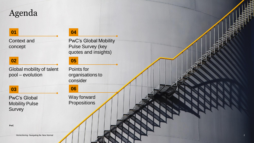## Agenda

#### **01**

Context and concept

### **02**

Global mobility of talent pool – evolution

### **03**

PwC's Global Mobility Pulse **Survey** 

#### **04**

PwC's Global Mobility Pulse Survey (key quotes and insights)

### **05**

Points for organisations to consider

**06**

Way forward **Propositions** 

**PwC**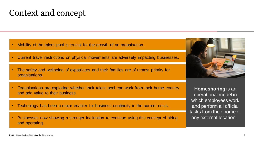### Context and concept

- Mobility of the talent pool is crucial for the growth of an organisation.
- Current travel restrictions on physical movements are adversely impacting businesses.
- The safety and wellbeing of expatriates and their families are of utmost priority for organisations.
- Organisations are exploring whether their talent pool can work from their home country and add value to their business.
- Technology has been a major enabler for business continuity in the current crisis.
- Businesses now showing a stronger inclination to continue using this concept of hiring and operating.



**Homeshoring** is an operational model in which employees work and perform all official tasks from their home or any external location.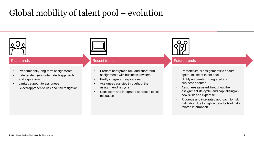# Global mobility of talent pool – evolution



#### Past trends

- Predominantly long term assignment Predominantly long-term assignments
- Independent (non-integrated) approach Independent (non-integrated) approach and aspirational and aspirational
- Limited support to assignees
- Siloed approach to risk and risk mitigation Siloed approach to risk and risk mitigation



#### Recent trends

- Predominantly medium and short term Predominantly medium- and short-term assignments with business travelers assignments with business travelers
- Partly integrated, aspirational Partly integrated, aspirational
- Assignees assisted throughout the Assignees assisted throughout the assignment life cycle assignment life cycle
- Consistent and integrated approach to risk Consistent and integrated approach to risk mitigation mitigation



#### Future trends

- Remote / virtual assignments to ensure Remote/virtual assignments to ensure optimum use of talent pool optimum use of talent pool
- Highly automated, integrated and Highly automated, integrated and business oriented. business oriented
- Assignees assisted throughout the Assignees assisted throughout the assignment life cycle, and capitalising on new skills and expertise
- Rigorous and integrated approach to risk Rigorous and integrated approach to risk mitigation due to high accessibility of risk mitigation due to high accessibility of riskrelated information related information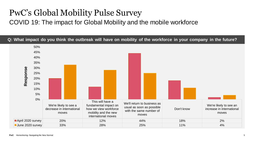# PwC's Global Mobility Pulse Survey

### COVID 19: The impact for Global Mobility and the mobile workforce

**Q: What impact do you think the outbreak will have on mobility of the workforce in your company in the future?**

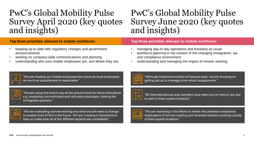### PwC's Global Mobility Pulse Survey April 2020 (key quotes and insights)

## PwC's Global Mobility Pulse Survey June 2020 (key quotes and insights)

#### **Top three priorities relevant to mobile workforce:**

- keeping up to date with regulatory changes and government announcements
- working on company-wide communications and planning
- understanding who your mobile employees are, and where they are.

#### **Top three priorities relevant to mobile workforce:**

- managing day-to-day operations and business as usual
- workforce planning in the context of the changing immigration, tax and compliance environment
- understanding and managing the impact of remote working.



"Although traditional mobility will always exist, we are focusing on getting set up to manage more virtual assignments."



"All international one way transfers have been put on hold or are due to start in their current locations."



"We are assisting in the efforts to review the potential compliance implications of remote working and stranded workers working outside of their payroll locations."



"We are treating our mobile employees the same as local employees as much as possible and is reasonable."



"We are using this time to lay all the ground work for future relocations e.g. preparing cost estimates and relocation packages, starting the immigration process."



"We are evaluating remote working and what we will need to change to enable more of this in the future. We are creating a framework to help us make sure all of the different aspects are considered."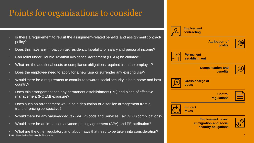# Points for organisations to consider

- Is there a requirement to revisit the assignment-related benefits and assignment contract/ policy?
- Does this have any impact on tax residency, taxability of salary and personal income?
- Can relief under Double Taxation Avoidance Agreement (DTAA) be claimed?
- What are the additional costs or compliance obligations required from the employer?
- Does the employee need to apply for a new visa or surrender any existing visa?
- Would there be a requirement to contribute towards social security in both home and host country?
- Does this arrangement has any permanent establishment (PE) and place of effective management (POEM) exposure?
- Does such an arrangement would be a deputation or a service arrangement from a transfer pricing perspective?
- Would there be any value-added tax (VAT)/Goods and Services Tax (GST) complications?
- Would there be an impact on advance pricing agreement (APA) and PE attribution?
- **PwC** Homeshoring- Navigating the New Normal • What are the other regulatory and labour laws that need to be taken into consideration?

| <b>Employment</b><br>contracting                                           |  |
|----------------------------------------------------------------------------|--|
| <b>Attribution of</b><br>profits                                           |  |
| <b>Permanent</b><br>establishment                                          |  |
| <b>Compensation and</b><br><b>benefits</b>                                 |  |
| <b>Cross-charge of</b><br><b>costs</b>                                     |  |
| <b>Control</b><br>regulations                                              |  |
| <b>Indirect</b><br>taxes                                                   |  |
| <b>Employment taxes,</b><br>immigration and social<br>security obligations |  |
|                                                                            |  |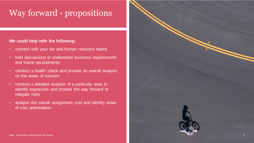# Way forward - propositions

#### **We could help with the following:**

- connect with your tax and human resource teams
- hold discussions to understand business requirements and future secondments
- conduct a health check and provide an overall analysis on the areas of concern
- conduct a detailed analysis of a particular area to identify exposures and provide the way forward to mitigate risks
- analyse the overall assignment cost and identify areas of cost optimisation.